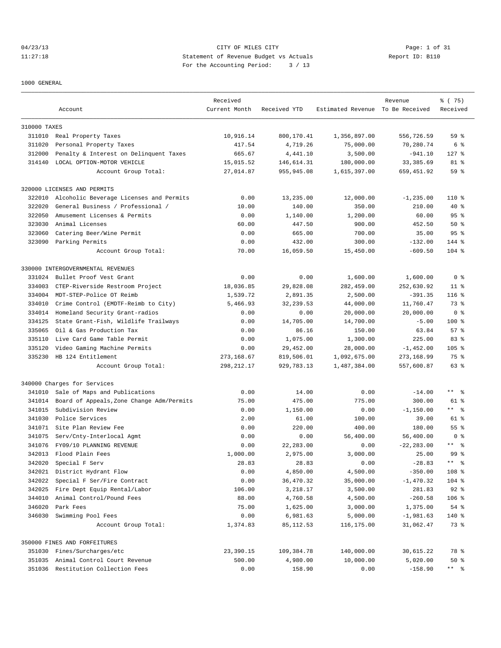04/23/13 CITY OF MILES CITY Page: 1 of 31 11:27:18 Statement of Revenue Budget vs Actuals Report ID: B110<br>Report ID: B110 For the Accounting Period: 3 / 13

1000 GENERAL

|              |                                                              | Received      |                   |                                  | Revenue       | % (75)               |
|--------------|--------------------------------------------------------------|---------------|-------------------|----------------------------------|---------------|----------------------|
|              | Account                                                      | Current Month | Received YTD      | Estimated Revenue To Be Received |               | Received             |
| 310000 TAXES |                                                              |               |                   |                                  |               |                      |
| 311010       | Real Property Taxes                                          | 10,916.14     | 800,170.41        | 1,356,897.00                     | 556,726.59    | 59%                  |
| 311020       | Personal Property Taxes                                      | 417.54        | 4,719.26          | 75,000.00                        | 70,280.74     | 6 %                  |
| 312000       | Penalty & Interest on Delinquent Taxes                       | 665.67        | 4,441.10          | 3,500.00                         | $-941.10$     | $127$ %              |
| 314140       | LOCAL OPTION-MOTOR VEHICLE                                   | 15,015.52     | 146,614.31        | 180,000.00                       | 33,385.69     | 81 %                 |
|              | Account Group Total:                                         | 27,014.87     | 955,945.08        | 1,615,397.00                     | 659,451.92    | 59 %                 |
|              | 320000 LICENSES AND PERMITS                                  |               |                   |                                  |               |                      |
| 322010       | Alcoholic Beverage Licenses and Permits                      | 0.00          | 13,235.00         | 12,000.00                        | $-1, 235.00$  | 110 %                |
| 322020       | General Business / Professional /                            | 10.00         | 140.00            | 350.00                           | 210.00        | 40 %                 |
| 322050       | Amusement Licenses & Permits                                 | 0.00          | 1,140.00          | 1,200.00                         | 60.00         | 95%                  |
| 323030       | Animal Licenses                                              | 60.00         | 447.50            | 900.00                           | 452.50        | 50%                  |
| 323060       | Catering Beer/Wine Permit                                    | 0.00          | 665.00            | 700.00                           | 35.00         | 95 <sup>°</sup>      |
|              | 323090 Parking Permits                                       | 0.00          | 432.00            | 300.00                           | $-132.00$     | 144 %                |
|              | Account Group Total:                                         | 70.00         | 16,059.50         | 15,450.00                        | $-609.50$     | $104$ %              |
|              |                                                              |               |                   |                                  |               |                      |
|              | 330000 INTERGOVERNMENTAL REVENUES<br>Bullet Proof Vest Grant | 0.00          |                   |                                  | 1,600.00      | 0 <sup>8</sup>       |
| 331024       |                                                              |               | 0.00<br>29,828.08 | 1,600.00                         |               |                      |
| 334003       | CTEP-Riverside Restroom Project                              | 18,036.85     |                   | 282,459.00                       | 252,630.92    | $11$ %               |
| 334004       | MDT-STEP-Police OT Reimb                                     | 1,539.72      | 2,891.35          | 2,500.00                         | $-391.35$     | $116$ %              |
| 334010       | Crime Control (EMDTF-Reimb to City)                          | 5,466.93      | 32,239.53         | 44,000.00                        | 11,760.47     | 73 %                 |
| 334014       | Homeland Security Grant-radios                               | 0.00          | 0.00              | 20,000.00                        | 20,000.00     | 0 <sup>8</sup>       |
| 334125       | State Grant-Fish, Wildlife Trailways                         | 0.00          | 14,705.00         | 14,700.00                        | $-5.00$       | $100$ %              |
| 335065       | Oil & Gas Production Tax                                     | 0.00          | 86.16             | 150.00                           | 63.84         | 57%                  |
| 335110       | Live Card Game Table Permit                                  | 0.00          | 1,075.00          | 1,300.00                         | 225.00        | 83%                  |
| 335120       | Video Gaming Machine Permits                                 | 0.00          | 29,452.00         | 28,000.00                        | $-1,452.00$   | $105$ %              |
| 335230       | HB 124 Entitlement                                           | 273, 168.67   | 819,506.01        | 1,092,675.00                     | 273,168.99    | 75 %                 |
|              | Account Group Total:                                         | 298, 212.17   | 929,783.13        | 1,487,384.00                     | 557,600.87    | 63 %                 |
|              | 340000 Charges for Services                                  |               |                   |                                  |               |                      |
| 341010       | Sale of Maps and Publications                                | 0.00          | 14.00             | 0.00                             | $-14.00$      | $***$ $ -$           |
| 341014       | Board of Appeals, Zone Change Adm/Permits                    | 75.00         | 475.00            | 775.00                           | 300.00        | 61 %                 |
| 341015       | Subdivision Review                                           | 0.00          | 1,150.00          | 0.00                             | $-1, 150.00$  | $***$ 8              |
| 341030       | Police Services                                              | 2.00          | 61.00             | 100.00                           | 39.00         | 61 %                 |
|              | 341071 Site Plan Review Fee                                  | 0.00          | 220.00            | 400.00                           | 180.00        | 55 %                 |
| 341075       | Serv/Cnty-Interlocal Agmt                                    | 0.00          | 0.00              | 56,400.00                        | 56,400.00     | 0 <sup>8</sup>       |
| 341076       | FY09/10 PLANNING REVENUE                                     | 0.00          | 22,283.00         | 0.00                             | $-22, 283.00$ | $***$<br>- 옹         |
| 342013       | Flood Plain Fees                                             | 1,000.00      | 2,975.00          | 3,000.00                         | 25.00         | 99 <sup>8</sup>      |
| 342020       | Special F Serv                                               | 28.83         | 28.83             | 0.00                             | $-28.83$      | $***$ $ \frac{6}{9}$ |
| 342021       | District Hydrant Flow                                        | 0.00          | 4,850.00          | 4,500.00                         | $-350.00$     | 108 %                |
| 342022       | Special F Ser/Fire Contract                                  | 0.00          | 36,470.32         | 35,000.00                        | $-1,470.32$   | 104 %                |
| 342025       | Fire Dept Equip Rental/Labor                                 | 106.00        | 3,218.17          | 3,500.00                         | 281.83        | $92$ $%$             |
| 344010       | Animal Control/Pound Fees                                    | 88.00         | 4,760.58          | 4,500.00                         | $-260.58$     | $106$ %              |
| 346020       | Park Fees                                                    | 75.00         | 1,625.00          | 3,000.00                         | 1,375.00      | 54 %                 |
| 346030       | Swimming Pool Fees                                           | 0.00          | 6,981.63          | 5,000.00                         | $-1,981.63$   | 140 %                |
|              | Account Group Total:                                         | 1,374.83      | 85,112.53         | 116,175.00                       | 31,062.47     | 73 %                 |
|              | 350000 FINES AND FORFEITURES                                 |               |                   |                                  |               |                      |
|              | 351030 Fines/Surcharges/etc                                  | 23,390.15     | 109,384.78        | 140,000.00                       | 30,615.22     | 78 %                 |
|              | 351035 Animal Control Court Revenue                          | 500.00        | 4,980.00          | 10,000.00                        | 5,020.00      | $50*$                |
|              | 351036 Restitution Collection Fees                           | 0.00          | 158.90            | 0.00                             | $-158.90$     | $***$ $ \frac{6}{9}$ |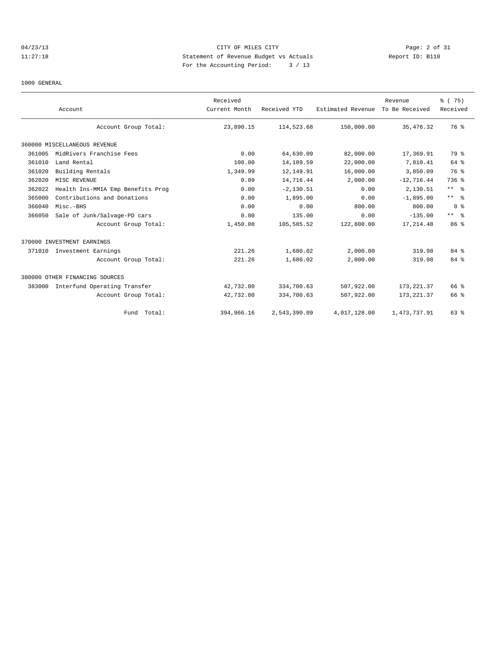### 04/23/13 Page: 2 of 31 11:27:18 Statement of Revenue Budget vs Actuals Report ID: B110 For the Accounting Period: 3 / 13

#### 1000 GENERAL

|        | Account                           | Received<br>Current Month | Received YTD | Estimated Revenue | Revenue<br>To Be Received | % (75)<br>Received |
|--------|-----------------------------------|---------------------------|--------------|-------------------|---------------------------|--------------------|
|        | Account Group Total:              | 23,890.15                 | 114,523.68   | 150,000.00        | 35, 476.32                | 76 %               |
|        | 360000 MISCELLANEOUS REVENUE      |                           |              |                   |                           |                    |
| 361005 | MidRivers Franchise Fees          | 0.00                      | 64,630.09    | 82,000.00         | 17,369.91                 | 79 %               |
| 361010 | Land Rental                       | 100.00                    | 14,189.59    | 22,000.00         | 7,810.41                  | 64 %               |
| 361020 | Building Rentals                  | 1,349.99                  | 12,149.91    | 16,000.00         | 3,850.09                  | 76 %               |
| 362020 | MISC REVENUE                      | 0.09                      | 14,716.44    | 2,000.00          | $-12,716.44$              | 736 %              |
| 362022 | Health Ins-MMIA Emp Benefits Prog | 0.00                      | $-2, 130.51$ | 0.00              | 2,130.51                  | $***$ %            |
| 365000 | Contributions and Donations       | 0.00                      | 1,895.00     | 0.00              | $-1,895.00$               | $***$ $ -$         |
| 366040 | Misc.-BHS                         | 0.00                      | 0.00         | 800.00            | 800.00                    | 0 <sup>8</sup>     |
| 366050 | Sale of Junk/Salvage-PD cars      | 0.00                      | 135.00       | 0.00              | $-135.00$                 | $***$ $ -$         |
|        | Account Group Total:              | 1,450.08                  | 105,585.52   | 122,800.00        | 17, 214.48                | 86 %               |
|        | 370000 INVESTMENT EARNINGS        |                           |              |                   |                           |                    |
|        | 371010 Investment Earnings        | 221.26                    | 1,680.02     | 2,000.00          | 319.98                    | 84 %               |
|        | Account Group Total:              | 221.26                    | 1,680.02     | 2,000.00          | 319.98                    | 84 %               |
|        | 380000 OTHER FINANCING SOURCES    |                           |              |                   |                           |                    |
| 383000 | Interfund Operating Transfer      | 42,732.80                 | 334,700.63   | 507,922.00        | 173, 221.37               | 66 %               |
|        | Account Group Total:              | 42,732.80                 | 334,700.63   | 507,922.00        | 173, 221.37               | 66 %               |
|        | Fund Total:                       | 394,966.16                | 2,543,390.09 | 4,017,128.00      | 1, 473, 737.91            | 63 %               |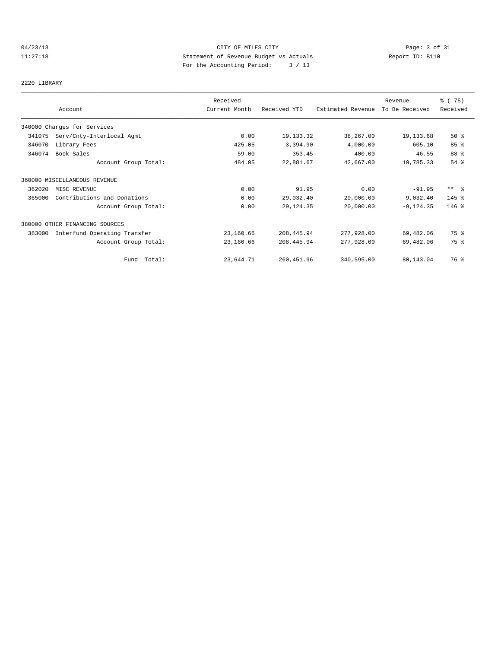# 04/23/13 Page: 3 of 31 11:27:18 Statement of Revenue Budget vs Actuals Report ID: B110 For the Accounting Period: 3 / 13

2220 LIBRARY

|        | Account<br>340000 Charges for Services<br>Serv/Cnty-Interlocal Agmt<br>Library Fees<br>Book Sales<br>Account Group Total: | Received      |              |                   | Revenue        | 8 (75)          |
|--------|---------------------------------------------------------------------------------------------------------------------------|---------------|--------------|-------------------|----------------|-----------------|
|        |                                                                                                                           | Current Month | Received YTD | Estimated Revenue | To Be Received | Received        |
|        |                                                                                                                           |               |              |                   |                |                 |
| 341075 |                                                                                                                           | 0.00          | 19,133.32    | 38,267.00         | 19,133.68      | 50%             |
| 346070 |                                                                                                                           | 425.05        | 3,394.90     | 4,000.00          | 605.10         | 85 %            |
| 346074 |                                                                                                                           | 59.00         | 353.45       | 400.00            | 46.55          | 88 %            |
|        |                                                                                                                           | 484.05        | 22,881.67    | 42,667.00         | 19,785.33      | 54 %            |
|        | 360000 MISCELLANEOUS REVENUE                                                                                              |               |              |                   |                |                 |
| 362020 | MISC REVENUE                                                                                                              | 0.00          | 91.95        | 0.00              | $-91.95$       | $***$ $\approx$ |
| 365000 | Contributions and Donations                                                                                               | 0.00          | 29,032.40    | 20,000.00         | $-9,032.40$    | $145$ %         |
|        | Account Group Total:                                                                                                      | 0.00          | 29, 124.35   | 20,000.00         | $-9, 124.35$   | $146$ %         |
|        | 380000 OTHER FINANCING SOURCES                                                                                            |               |              |                   |                |                 |
| 383000 | Interfund Operating Transfer                                                                                              | 23,160.66     | 208,445.94   | 277,928.00        | 69,482.06      | 75 %            |
|        | Account Group Total:                                                                                                      | 23,160.66     | 208,445.94   | 277,928.00        | 69,482.06      | 75 %            |
|        | Fund Total:                                                                                                               | 23,644.71     | 260, 451.96  | 340,595.00        | 80,143.04      | 76 %            |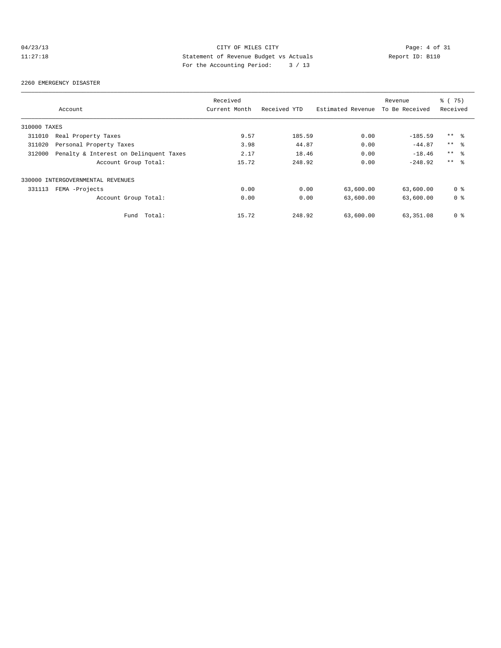# 04/23/13 CITY OF MILES CITY Page: 4 of 31<br>11:27:18 Statement of Revenue Budget vs Actuals Report ID: B110<br>Por the Accumular Device: 2006, 2007 11:27:18 Statement of Revenue Budget vs Actuals Report ID: B110 For the Accounting Period: 3 / 13

#### 2260 EMERGENCY DISASTER

|              |                                        | Received      |              |                   | Revenue        | 8 (75)          |
|--------------|----------------------------------------|---------------|--------------|-------------------|----------------|-----------------|
|              | Account                                | Current Month | Received YTD | Estimated Revenue | To Be Received | Received        |
| 310000 TAXES |                                        |               |              |                   |                |                 |
| 311010       | Real Property Taxes                    | 9.57          | 185.59       | 0.00              | $-185.59$      | $***$ $\approx$ |
| 311020       | Personal Property Taxes                | 3.98          | 44.87        | 0.00              | $-44.87$       | $***$ 8         |
| 312000       | Penalty & Interest on Delinquent Taxes | 2.17          | 18.46        | 0.00              | $-18.46$       | $***$ %         |
|              | Account Group Total:                   | 15.72         | 248.92       | 0.00              | $-248.92$      | $***$ $ -$      |
|              | 330000 INTERGOVERNMENTAL REVENUES      |               |              |                   |                |                 |
| 331113       | FEMA -Projects                         | 0.00          | 0.00         | 63,600.00         | 63,600.00      | 0 <sub>8</sub>  |
|              | Account Group Total:                   | 0.00          | 0.00         | 63,600.00         | 63,600.00      | 0 <sub>8</sub>  |
|              | Total:<br>Fund                         | 15.72         | 248.92       | 63,600.00         | 63,351.08      | 0 <sup>8</sup>  |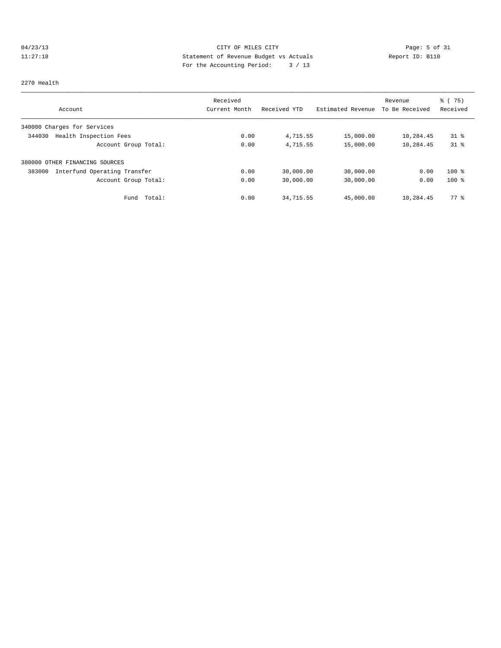# 04/23/13 Page: 5 of 31 11:27:18 Statement of Revenue Budget vs Actuals Report ID: B110<br>Report ID: B110 For the Accounting Period: 3 / 13

#### 2270 Health

|                                        | Received      |              |                   | Revenue        | $\frac{1}{6}$ (75) |
|----------------------------------------|---------------|--------------|-------------------|----------------|--------------------|
| Account                                | Current Month | Received YTD | Estimated Revenue | To Be Received | Received           |
| 340000 Charges for Services            |               |              |                   |                |                    |
| Health Inspection Fees<br>344030       | 0.00          | 4,715.55     | 15,000.00         | 10,284.45      | $31*$              |
| Account Group Total:                   | 0.00          | 4,715.55     | 15,000.00         | 10,284.45      | $31*$              |
| 380000 OTHER FINANCING SOURCES         |               |              |                   |                |                    |
| Interfund Operating Transfer<br>383000 | 0.00          | 30,000.00    | 30,000.00         | 0.00           | $100$ %            |
| Account Group Total:                   | 0.00          | 30,000.00    | 30,000.00         | 0.00           | $100*$             |
| Total:<br>Fund                         | 0.00          | 34,715.55    | 45,000.00         | 10,284.45      | 77.8               |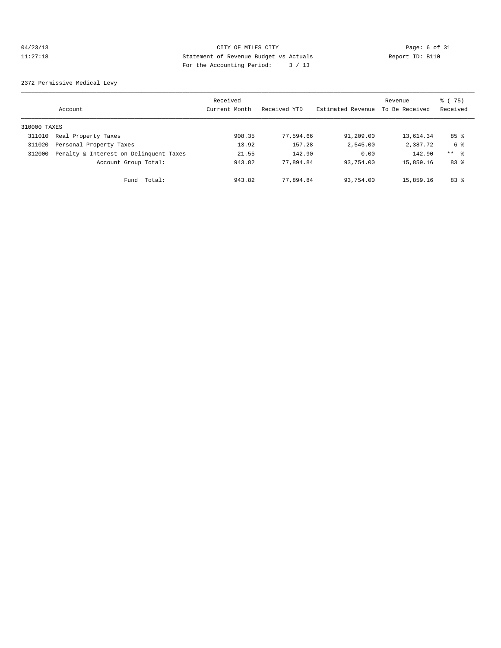### 04/23/13 Page: 6 of 31 11:27:18 Statement of Revenue Budget vs Actuals Report ID: B110 For the Accounting Period: 3 / 13

2372 Permissive Medical Levy

|              | Account                                | Received<br>Current Month | Received YTD | Estimated Revenue | Revenue<br>To Be Received | % (75)<br>Received |
|--------------|----------------------------------------|---------------------------|--------------|-------------------|---------------------------|--------------------|
| 310000 TAXES |                                        |                           |              |                   |                           |                    |
| 311010       | Real Property Taxes                    | 908.35                    | 77,594.66    | 91,209.00         | 13,614.34                 | $85$ %             |
| 311020       | Personal Property Taxes                | 13.92                     | 157.28       | 2,545.00          | 2,387.72                  | 6 %                |
| 312000       | Penalty & Interest on Delinquent Taxes | 21.55                     | 142.90       | 0.00              | $-142.90$                 | $***$ 8            |
|              | Account Group Total:                   | 943.82                    | 77.894.84    | 93,754.00         | 15,859.16                 | 83 %               |
|              | Total:<br>Fund                         | 943.82                    | 77.894.84    | 93,754.00         | 15,859.16                 | 83%                |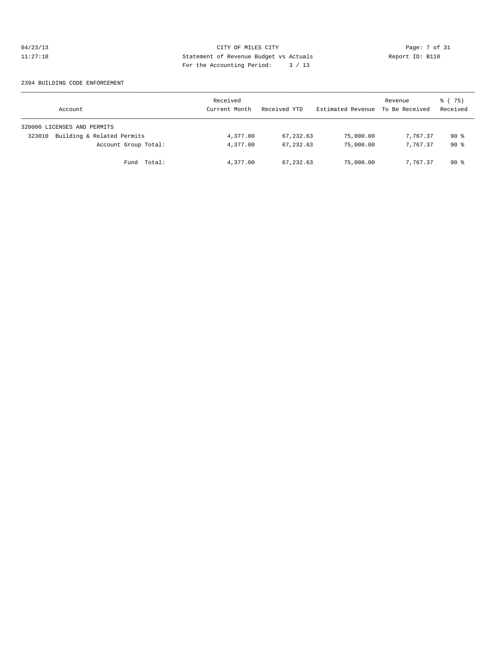### 04/23/13 CITY OF MILES CITY Page: 7 of 31<br>11:27:18 Statement of Revenue Budget vs Actuals Report ID: B110<br>Por the Accumular Device: 2006, 2007 11:27:18 Statement of Revenue Budget vs Actuals Report ID: B110 For the Accounting Period: 3 / 13

#### 2394 BUILDING CODE ENFORCEMENT

| Account                              | Received<br>Current Month | Received YTD | Estimated Revenue | Revenue<br>To Be Received | 8 (75)<br>Received |
|--------------------------------------|---------------------------|--------------|-------------------|---------------------------|--------------------|
| 320000 LICENSES AND PERMITS          |                           |              |                   |                           |                    |
| Building & Related Permits<br>323010 | 4,377.00                  | 67, 232.63   | 75,000.00         | 7,767.37                  | 90 %               |
| Account Group Total:                 | 4,377.00                  | 67,232.63    | 75,000.00         | 7,767.37                  | 90%                |
| Fund Total:                          | 4,377.00                  | 67,232.63    | 75,000.00         | 7,767.37                  | 90 %               |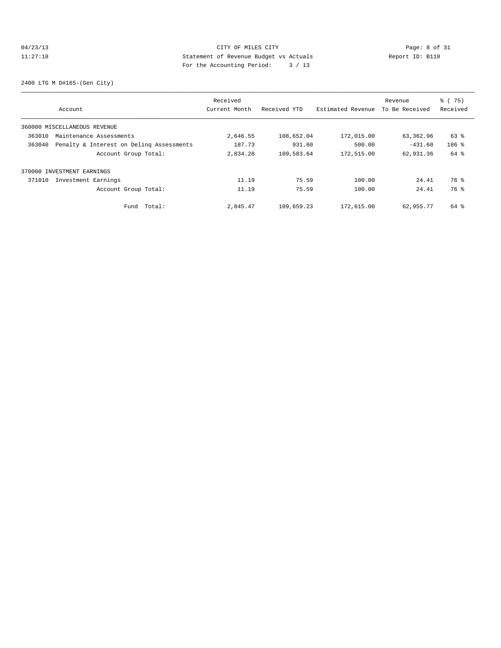### 04/23/13 Page: 8 of 31 11:27:18 Statement of Revenue Budget vs Actuals Report ID: B110 For the Accounting Period: 3 / 13

2400 LTG M D#165-(Gen City)

|        |                                          | Received      |              |                   | Revenue        | % (75)   |
|--------|------------------------------------------|---------------|--------------|-------------------|----------------|----------|
|        | Account                                  | Current Month | Received YTD | Estimated Revenue | To Be Received | Received |
|        | 360000 MISCELLANEOUS REVENUE             |               |              |                   |                |          |
| 363010 | Maintenance Assessments                  | 2,646.55      | 108,652.04   | 172,015.00        | 63,362.96      | 63 %     |
| 363040 | Penalty & Interest on Deling Assessments | 187.73        | 931.60       | 500.00            | $-431.60$      | $186$ %  |
|        | Account Group Total:                     | 2,834.28      | 109,583.64   | 172,515.00        | 62,931.36      | 64 %     |
|        | 370000 INVESTMENT EARNINGS               |               |              |                   |                |          |
| 371010 | Investment Earnings                      | 11.19         | 75.59        | 100.00            | 24.41          | 76 %     |
|        | Account Group Total:                     | 11.19         | 75.59        | 100.00            | 24.41          | 76 %     |
|        | Total:<br>Fund                           | 2,845.47      | 109,659.23   | 172,615.00        | 62,955.77      | 64 %     |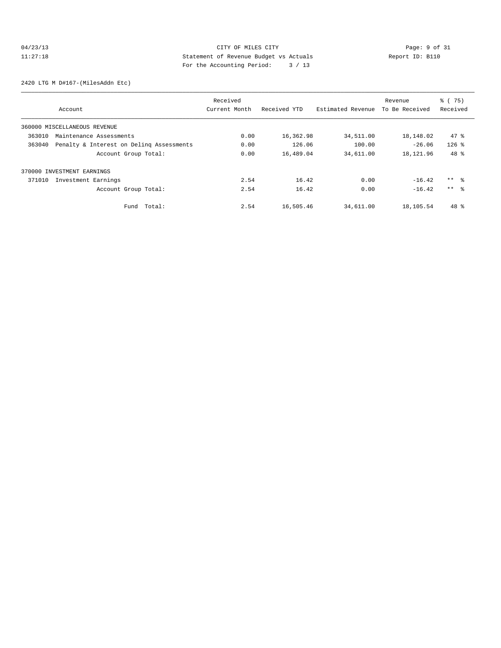# 04/23/13 CITY OF MILES CITY Page: 9 of 31<br>11:27:18 Statement of Revenue Budget vs Actuals Report ID: B110<br>Por the Accumular Device: 2006, 2007 11:27:18 Statement of Revenue Budget vs Actuals Report ID: B110 For the Accounting Period: 3 / 13

2420 LTG M D#167-(MilesAddn Etc)

|        |                                          | Received      |              |                   | Revenue        | % (75)          |
|--------|------------------------------------------|---------------|--------------|-------------------|----------------|-----------------|
|        | Account                                  | Current Month | Received YTD | Estimated Revenue | To Be Received | Received        |
|        | 360000 MISCELLANEOUS REVENUE             |               |              |                   |                |                 |
| 363010 | Maintenance Assessments                  | 0.00          | 16,362.98    | 34,511.00         | 18,148.02      | 47.8            |
| 363040 | Penalty & Interest on Deling Assessments | 0.00          | 126.06       | 100.00            | $-26.06$       | $126$ %         |
|        | Account Group Total:                     | 0.00          | 16,489.04    | 34,611.00         | 18, 121, 96    | $48*$           |
|        | 370000 INVESTMENT EARNINGS               |               |              |                   |                |                 |
| 371010 | Investment Earnings                      | 2.54          | 16.42        | 0.00              | $-16.42$       | $***$ %         |
|        | Account Group Total:                     | 2.54          | 16.42        | 0.00              | $-16.42$       | $***$ $\approx$ |
|        | Total:<br>Fund                           | 2.54          | 16,505.46    | 34,611.00         | 18,105.54      | 48 %            |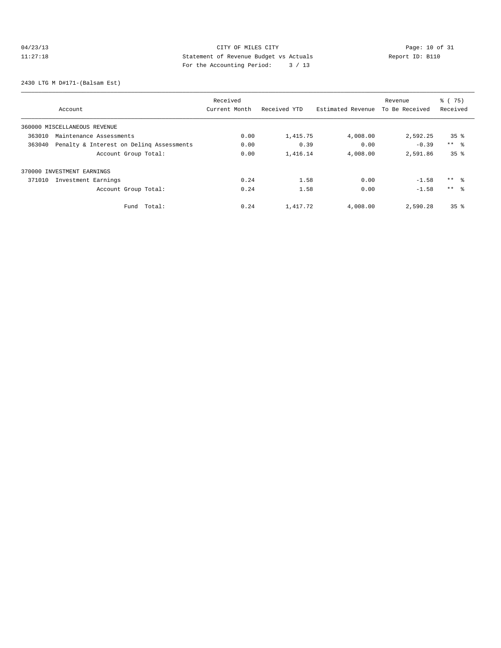# 04/23/13 Page: 10 of 31 11:27:18 Statement of Revenue Budget vs Actuals Report ID: B110 For the Accounting Period: 3 / 13

2430 LTG M D#171-(Balsam Est)

|                              |                                          | Received      |              |                   | Revenue        | % (75)          |
|------------------------------|------------------------------------------|---------------|--------------|-------------------|----------------|-----------------|
| Account                      |                                          | Current Month | Received YTD | Estimated Revenue | To Be Received | Received        |
| 360000 MISCELLANEOUS REVENUE |                                          |               |              |                   |                |                 |
| 363010                       | Maintenance Assessments                  | 0.00          | 1,415.75     | 4,008.00          | 2,592.25       | 35 <sup>8</sup> |
| 363040                       | Penalty & Interest on Deling Assessments | 0.00          | 0.39         | 0.00              | $-0.39$        | $***$ %         |
|                              | Account Group Total:                     | 0.00          | 1,416.14     | 4,008.00          | 2,591.86       | 35 <sup>8</sup> |
| 370000 INVESTMENT EARNINGS   |                                          |               |              |                   |                |                 |
| 371010                       | Investment Earnings                      | 0.24          | 1.58         | 0.00              | $-1.58$        | ** %            |
|                              | Account Group Total:                     | 0.24          | 1.58         | 0.00              | $-1.58$        | $***$ $\approx$ |
|                              | Total:<br>Fund                           | 0.24          | 1,417.72     | 4,008.00          | 2,590.28       | 35 <sup>8</sup> |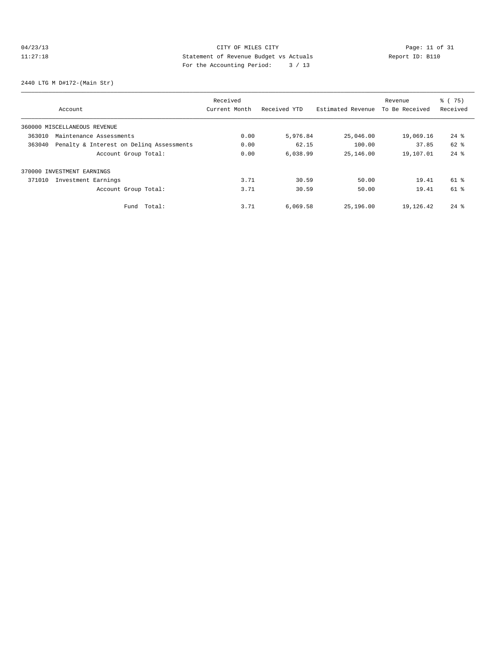# 04/23/13 Page: 11 of 31 11:27:18 Statement of Revenue Budget vs Actuals Report ID: B110 For the Accounting Period: 3 / 13

2440 LTG M D#172-(Main Str)

|        |                                          | Received      |              |                   | Revenue        | % (75)             |
|--------|------------------------------------------|---------------|--------------|-------------------|----------------|--------------------|
|        | Account                                  | Current Month | Received YTD | Estimated Revenue | To Be Received | Received           |
|        | 360000 MISCELLANEOUS REVENUE             |               |              |                   |                |                    |
| 363010 | Maintenance Assessments                  | 0.00          | 5,976.84     | 25,046.00         | 19,069.16      | $24$ $\frac{6}{5}$ |
| 363040 | Penalty & Interest on Deling Assessments | 0.00          | 62.15        | 100.00            | 37.85          | 62 %               |
|        | Account Group Total:                     | 0.00          | 6,038.99     | 25,146.00         | 19,107.01      | $24$ $%$           |
|        | 370000 INVESTMENT EARNINGS               |               |              |                   |                |                    |
| 371010 | Investment Earnings                      | 3.71          | 30.59        | 50.00             | 19.41          | $61$ %             |
|        | Account Group Total:                     | 3.71          | 30.59        | 50.00             | 19.41          | $61$ %             |
|        | Total:<br>Fund                           | 3.71          | 6,069.58     | 25,196.00         | 19,126.42      | $24$ $\frac{6}{3}$ |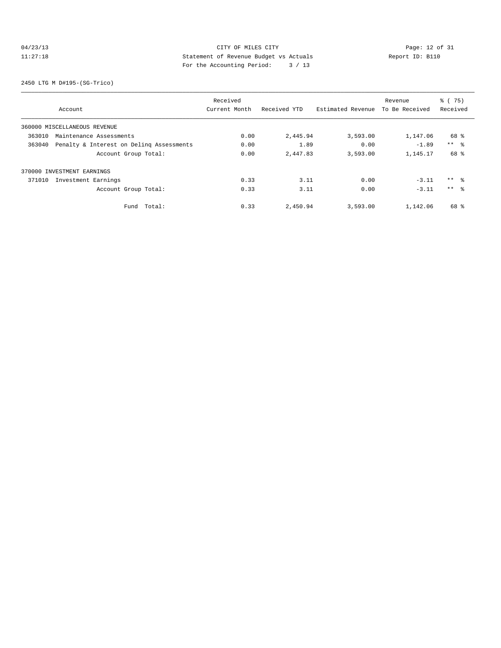# 04/23/13 Page: 12 of 31 11:27:18 Statement of Revenue Budget vs Actuals Report ID: B110<br>Report ID: B110 For the Accounting Period: 3 / 13

2450 LTG M D#195-(SG-Trico)

|        |                                          | Received      |              |                   | Revenue        | % (75)          |
|--------|------------------------------------------|---------------|--------------|-------------------|----------------|-----------------|
|        | Account                                  | Current Month | Received YTD | Estimated Revenue | To Be Received | Received        |
|        | 360000 MISCELLANEOUS REVENUE             |               |              |                   |                |                 |
| 363010 | Maintenance Assessments                  | 0.00          | 2,445.94     | 3,593.00          | 1,147.06       | 68 %            |
| 363040 | Penalty & Interest on Deling Assessments | 0.00          | 1.89         | 0.00              | $-1.89$        | $***$ $\approx$ |
|        | Account Group Total:                     | 0.00          | 2,447.83     | 3,593.00          | 1,145.17       | 68 %            |
|        | 370000 INVESTMENT EARNINGS               |               |              |                   |                |                 |
| 371010 | Investment Earnings                      | 0.33          | 3.11         | 0.00              | $-3.11$        | $***$ 8         |
|        | Account Group Total:                     | 0.33          | 3.11         | 0.00              | $-3.11$        | $***$ %         |
|        | Total:<br>Fund                           | 0.33          | 2,450.94     | 3,593.00          | 1,142.06       | 68 %            |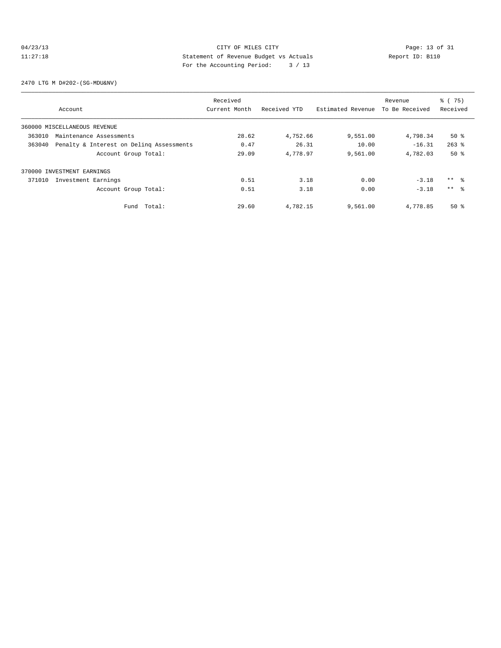### 04/23/13 Page: 13 of 31 11:27:18 Statement of Revenue Budget vs Actuals Report ID: B110<br>Report ID: B110 For the Accounting Period: 3 / 13

2470 LTG M D#202-(SG-MDU&NV)

|        |                                                                                                                                                                                                                                                                            | Received |          |          | Revenue  | % (75)          |
|--------|----------------------------------------------------------------------------------------------------------------------------------------------------------------------------------------------------------------------------------------------------------------------------|----------|----------|----------|----------|-----------------|
|        | Received YTD<br>Estimated Revenue<br>To Be Received<br>Current Month<br>Account<br>28.62<br>4,752.66<br>9,551.00<br>4,798.34<br>0.47<br>26.31<br>10.00<br>$-16.31$<br>29.09<br>4,778.97<br>9,561.00<br>Account Group Total:<br>4,782.03<br>3.18<br>0.51<br>0.00<br>$-3.18$ | Received |          |          |          |                 |
|        | 360000 MISCELLANEOUS REVENUE                                                                                                                                                                                                                                               |          |          |          |          |                 |
| 363010 | Maintenance Assessments                                                                                                                                                                                                                                                    |          |          |          |          | $50*$           |
| 363040 | Penalty & Interest on Deling Assessments                                                                                                                                                                                                                                   |          |          |          |          | $263$ $%$       |
|        |                                                                                                                                                                                                                                                                            |          |          |          |          | $50*$           |
|        | 370000 INVESTMENT EARNINGS                                                                                                                                                                                                                                                 |          |          |          |          |                 |
| 371010 | Investment Earnings                                                                                                                                                                                                                                                        |          |          |          |          | $***$ $\approx$ |
|        | Account Group Total:                                                                                                                                                                                                                                                       | 0.51     | 3.18     | 0.00     | $-3.18$  | $***$ $\approx$ |
|        | Total:<br>Fund                                                                                                                                                                                                                                                             | 29.60    | 4,782.15 | 9,561.00 | 4,778.85 | $50*$           |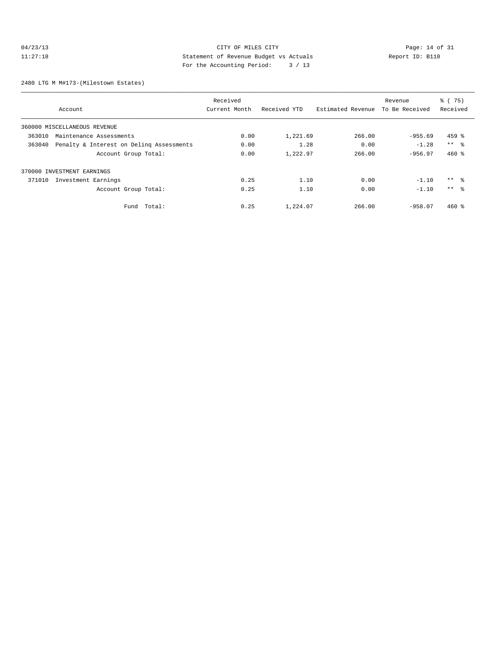### 04/23/13 Page: 14 of 31 11:27:18 Statement of Revenue Budget vs Actuals Report ID: B110 For the Accounting Period: 3 / 13

2480 LTG M M#173-(Milestown Estates)

|                                                    | Received      |              |                   | Revenue        | % (75)          |
|----------------------------------------------------|---------------|--------------|-------------------|----------------|-----------------|
| Account                                            | Current Month | Received YTD | Estimated Revenue | To Be Received | Received        |
| 360000 MISCELLANEOUS REVENUE                       |               |              |                   |                |                 |
| 363010<br>Maintenance Assessments                  | 0.00          | 1,221.69     | 266.00            | $-955.69$      | $459$ %         |
| Penalty & Interest on Deling Assessments<br>363040 | 0.00          | 1.28         | 0.00              | $-1.28$        | $***$ $\approx$ |
| Account Group Total:                               | 0.00          | 1,222.97     | 266.00            | $-956.97$      | $460*$          |
| 370000 INVESTMENT EARNINGS                         |               |              |                   |                |                 |
| Investment Earnings<br>371010                      | 0.25          | 1.10         | 0.00              | $-1.10$        | ** %            |
| Account Group Total:                               | 0.25          | 1.10         | 0.00              | $-1.10$        | $***$ $\approx$ |
| Total:<br>Fund                                     | 0.25          | 1,224.07     | 266.00            | $-958.07$      | $460*$          |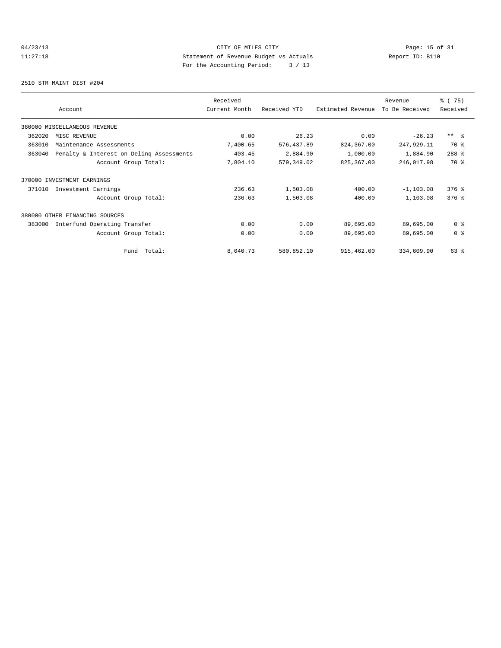# 04/23/13 Page: 15 of 31 11:27:18 Statement of Revenue Budget vs Actuals Report ID: B110 For the Accounting Period: 3 / 13

2510 STR MAINT DIST #204

|        |                                          | Received      |              |                   | Revenue        | 8 (75)         |
|--------|------------------------------------------|---------------|--------------|-------------------|----------------|----------------|
|        | Account                                  | Current Month | Received YTD | Estimated Revenue | To Be Received | Received       |
|        | 360000 MISCELLANEOUS REVENUE             |               |              |                   |                |                |
| 362020 | MISC REVENUE                             | 0.00          | 26.23        | 0.00              | $-26.23$       | $***$ $ -$     |
| 363010 | Maintenance Assessments                  | 7,400.65      | 576, 437.89  | 824,367.00        | 247,929.11     | 70 %           |
| 363040 | Penalty & Interest on Deling Assessments | 403.45        | 2,884.90     | 1,000.00          | $-1,884.90$    | 288 %          |
|        | Account Group Total:                     | 7,804.10      | 579,349.02   | 825,367.00        | 246,017.98     | 70 %           |
|        | 370000 INVESTMENT EARNINGS               |               |              |                   |                |                |
| 371010 | Investment Earnings                      | 236.63        | 1,503.08     | 400.00            | $-1, 103.08$   | $376$ $%$      |
|        | Account Group Total:                     | 236.63        | 1,503.08     | 400.00            | $-1, 103.08$   | $376$ $%$      |
| 380000 | OTHER FINANCING SOURCES                  |               |              |                   |                |                |
| 383000 | Interfund Operating Transfer             | 0.00          | 0.00         | 89,695.00         | 89,695.00      | 0 <sup>8</sup> |
|        | Account Group Total:                     | 0.00          | 0.00         | 89,695.00         | 89,695.00      | 0 <sup>8</sup> |
|        | Total:<br>Fund                           | 8,040.73      | 580,852.10   | 915,462.00        | 334,609.90     | $63$ $%$       |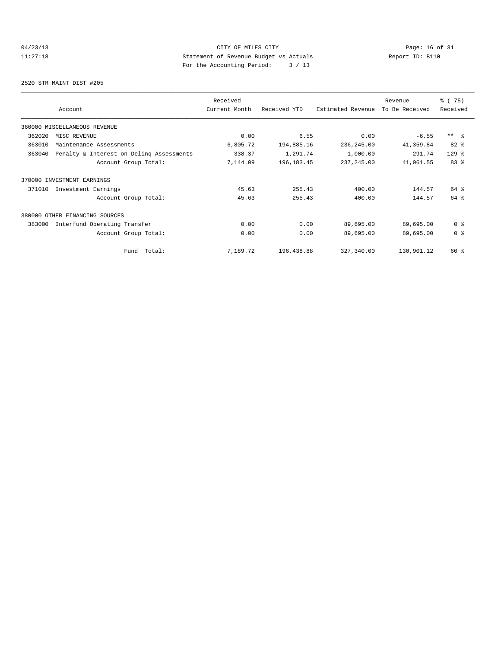# 04/23/13 Page: 16 of 31 11:27:18 Statement of Revenue Budget vs Actuals Report ID: B110 For the Accounting Period: 3 / 13

2520 STR MAINT DIST #205

|        |                                          | Received      |              |                   | Revenue        | 8 (75)         |
|--------|------------------------------------------|---------------|--------------|-------------------|----------------|----------------|
|        | Account                                  | Current Month | Received YTD | Estimated Revenue | To Be Received | Received       |
|        | 360000 MISCELLANEOUS REVENUE             |               |              |                   |                |                |
| 362020 | MISC REVENUE                             | 0.00          | 6.55         | 0.00              | $-6.55$        | $***$ $ -$     |
| 363010 | Maintenance Assessments                  | 6,805.72      | 194,885.16   | 236,245.00        | 41,359.84      | 82%            |
| 363040 | Penalty & Interest on Deling Assessments | 338.37        | 1,291.74     | 1,000.00          | $-291.74$      | $129$ $%$      |
|        | Account Group Total:                     | 7,144.09      | 196, 183.45  | 237, 245.00       | 41,061.55      | 83%            |
|        | 370000 INVESTMENT EARNINGS               |               |              |                   |                |                |
| 371010 | Investment Earnings                      | 45.63         | 255.43       | 400.00            | 144.57         | 64 %           |
|        | Account Group Total:                     | 45.63         | 255.43       | 400.00            | 144.57         | 64 %           |
|        | 380000 OTHER FINANCING SOURCES           |               |              |                   |                |                |
| 383000 | Interfund Operating Transfer             | 0.00          | 0.00         | 89,695.00         | 89,695.00      | 0 <sup>8</sup> |
|        | Account Group Total:                     | 0.00          | 0.00         | 89,695.00         | 89,695.00      | 0 <sup>8</sup> |
|        | Total:<br>Fund                           | 7,189.72      | 196,438.88   | 327,340.00        | 130,901.12     | 60 %           |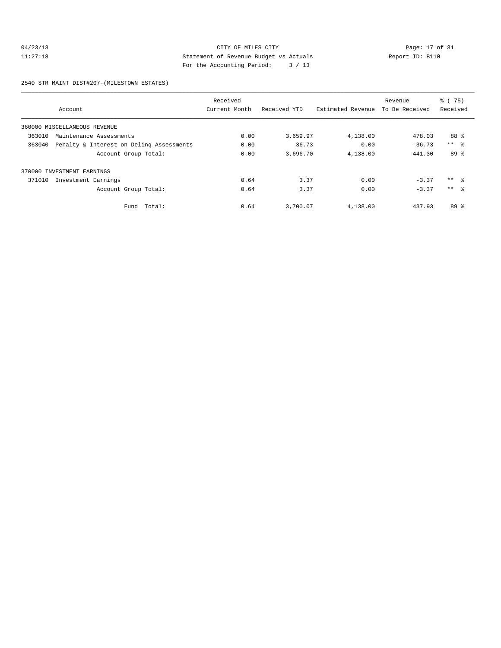### 04/23/13 CITY OF MILES CITY<br>11:27:18 Dege: 17 of 31<br>11:27:18 Deport ID: Bl10 11:27:18 Statement of Revenue Budget vs Actuals Report ID: B110 For the Accounting Period: 3 / 13

2540 STR MAINT DIST#207-(MILESTOWN ESTATES)

|        |                                          | Received      |              |                   | Revenue        | % (75)          |
|--------|------------------------------------------|---------------|--------------|-------------------|----------------|-----------------|
|        | Account                                  | Current Month | Received YTD | Estimated Revenue | To Be Received | Received        |
|        | 360000 MISCELLANEOUS REVENUE             |               |              |                   |                |                 |
| 363010 | Maintenance Assessments                  | 0.00          | 3,659.97     | 4,138.00          | 478.03         | 88 %            |
| 363040 | Penalty & Interest on Deling Assessments | 0.00          | 36.73        | 0.00              | $-36.73$       | $***$ $ -$      |
|        | Account Group Total:                     | 0.00          | 3,696.70     | 4,138.00          | 441.30         | 89 %            |
|        | 370000 INVESTMENT EARNINGS               |               |              |                   |                |                 |
| 371010 | Investment Earnings                      | 0.64          | 3.37         | 0.00              | $-3.37$        | $***$ 8         |
|        | Account Group Total:                     | 0.64          | 3.37         | 0.00              | $-3.37$        | $***$ $\approx$ |
|        | Fund Total:                              | 0.64          | 3,700.07     | 4,138.00          | 437.93         | 89 <sup>°</sup> |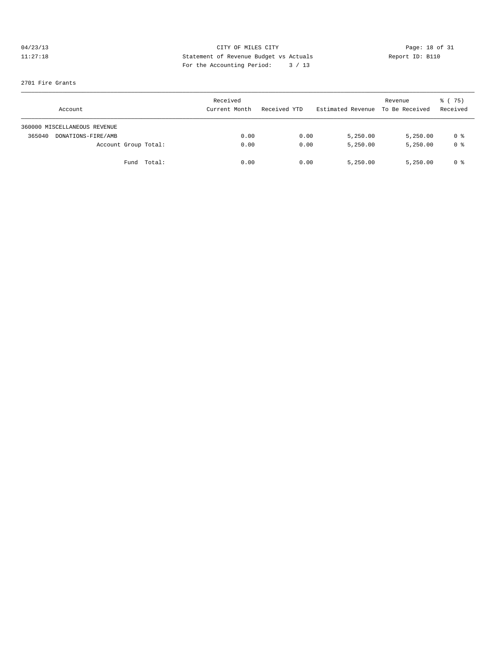# 04/23/13 CITY OF MILES CITY<br>11:27:18 Details Statement of Revenue Budget vs Actuals<br>11:27:18 Pay the Monountine Device: 2, (12, 2, 2, 2) 11:27:18 Statement of Revenue Budget vs Actuals Report ID: B110 For the Accounting Period: 3 / 13

#### 2701 Fire Grants

| Account                      |             | Received<br>Current Month | Received YTD | Estimated Revenue | Revenue<br>To Be Received | $\frac{1}{6}$ (75)<br>Received |
|------------------------------|-------------|---------------------------|--------------|-------------------|---------------------------|--------------------------------|
| 360000 MISCELLANEOUS REVENUE |             |                           |              |                   |                           |                                |
| 365040<br>DONATIONS-FIRE/AMB |             | 0.00                      | 0.00         | 5,250.00          | 5,250.00                  | 0 %                            |
| Account Group Total:         |             | 0.00                      | 0.00         | 5,250.00          | 5,250.00                  | 0 <sup>8</sup>                 |
|                              | Fund Total: | 0.00                      | 0.00         | 5,250.00          | 5,250.00                  | 0 %                            |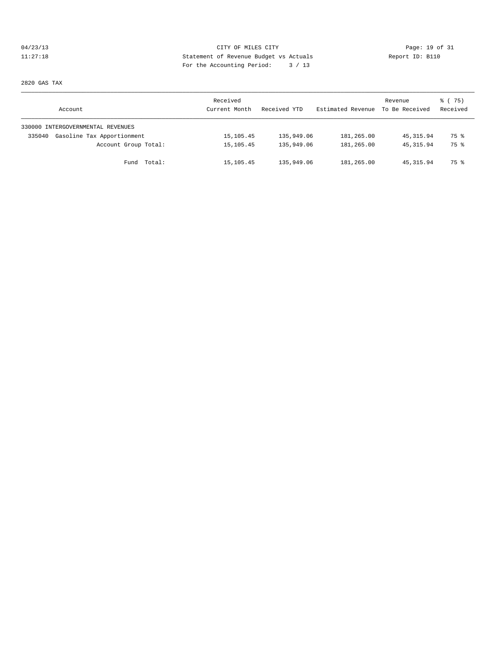# 04/23/13 Page: 19 of 31 11:27:18 Statement of Revenue Budget vs Actuals Report ID: B110 For the Accounting Period: 3 / 13

2820 GAS TAX

| Account                              | Received<br>Current Month | Received YTD | Estimated Revenue | Revenue<br>To Be Received | 8 (75)<br>Received |
|--------------------------------------|---------------------------|--------------|-------------------|---------------------------|--------------------|
| 330000 INTERGOVERNMENTAL REVENUES    |                           |              |                   |                           |                    |
| Gasoline Tax Apportionment<br>335040 | 15, 105.45                | 135,949.06   | 181,265.00        | 45, 315, 94               | 75 %               |
| Account Group Total:                 | 15, 105.45                | 135,949.06   | 181,265.00        | 45, 315.94                | 75 %               |
| Fund Total:                          | 15,105.45                 | 135,949.06   | 181,265.00        | 45, 315.94                | 75 %               |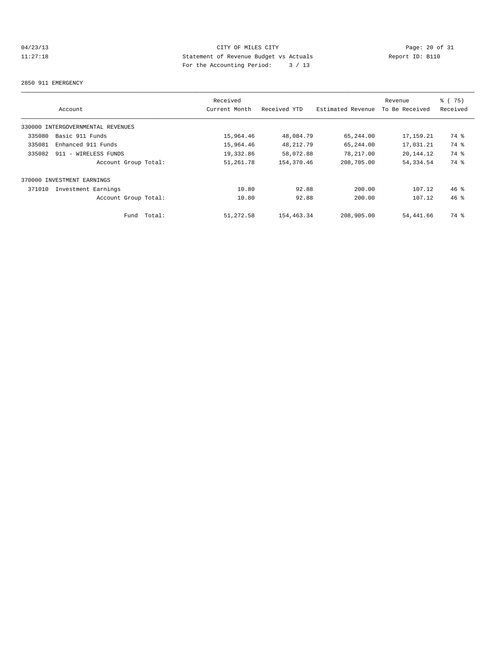# 04/23/13 CITY OF MILES CITY<br>11:27:18 Dege: 20 of 31<br>11:27:18 Deport ID: B110 11:27:18 Statement of Revenue Budget vs Actuals Report ID: B110 For the Accounting Period: 3 / 13

#### 2850 911 EMERGENCY

|        |                                   |        | Received      |              |                   | Revenue        | % (75)          |
|--------|-----------------------------------|--------|---------------|--------------|-------------------|----------------|-----------------|
|        | Account                           |        | Current Month | Received YTD | Estimated Revenue | To Be Received | Received        |
|        | 330000 INTERGOVERNMENTAL REVENUES |        |               |              |                   |                |                 |
| 335080 | Basic 911 Funds                   |        | 15,964.46     | 48,084.79    | 65,244.00         | 17,159.21      | 74 %            |
| 335081 | Enhanced 911 Funds                |        | 15,964.46     | 48,212.79    | 65,244.00         | 17,031.21      | 74 %            |
| 335082 | 911 - WIRELESS FUNDS              |        | 19,332.86     | 58,072.88    | 78,217.00         | 20,144.12      | 74 %            |
|        | Account Group Total:              |        | 51,261.78     | 154,370.46   | 208,705.00        | 54, 334.54     | 74 %            |
|        | 370000 INVESTMENT EARNINGS        |        |               |              |                   |                |                 |
| 371010 | Investment Earnings               |        | 10.80         | 92.88        | 200.00            | 107.12         | $46*$           |
|        | Account Group Total:              |        | 10.80         | 92.88        | 200.00            | 107.12         | 46 <sup>°</sup> |
|        | Fund                              | Total: | 51,272.58     | 154,463.34   | 208,905.00        | 54,441.66      | 74 %            |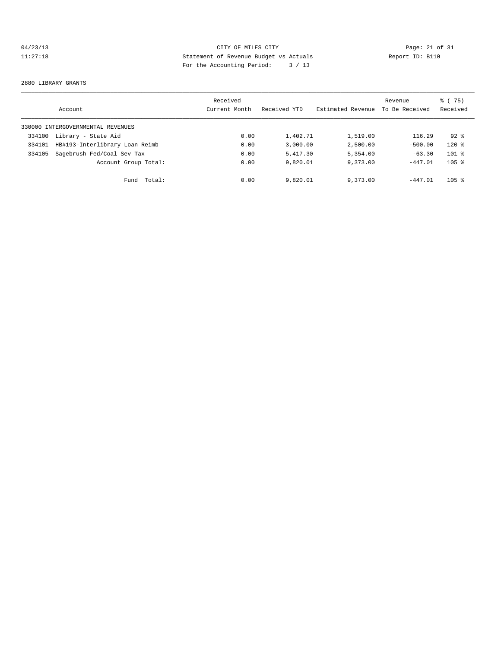# 04/23/13 CITY OF MILES CITY<br>11:27:18 Details Statement of Revenue Budget vs Actuals<br>11:27:18 Page: 21 of 31<br>Page: 21 of 31<br>2011 Page: 21 of 31 11:27:18 Statement of Revenue Budget vs Actuals Report ID: B110 For the Accounting Period: 3 / 13

#### 2880 LIBRARY GRANTS

|        | Account                           | Received<br>Current Month | Received YTD | Estimated Revenue | Revenue<br>To Be Received | % (75)<br>Received |
|--------|-----------------------------------|---------------------------|--------------|-------------------|---------------------------|--------------------|
|        | 330000 INTERGOVERNMENTAL REVENUES |                           |              |                   |                           |                    |
| 334100 | Library - State Aid               | 0.00                      | 1,402.71     | 1,519.00          | 116.29                    | $92*$              |
| 334101 | HB#193-Interlibrary Loan Reimb    | 0.00                      | 3.000.00     | 2,500.00          | $-500.00$                 | $120*$             |
| 334105 | Sagebrush Fed/Coal Sev Tax        | 0.00                      | 5,417.30     | 5,354.00          | $-63.30$                  | $101$ %            |
|        | Account Group Total:              | 0.00                      | 9,820.01     | 9,373.00          | $-447.01$                 | $105$ %            |
|        | Total:<br>Fund                    | 0.00                      | 9,820.01     | 9,373.00          | $-447.01$                 | $105$ %            |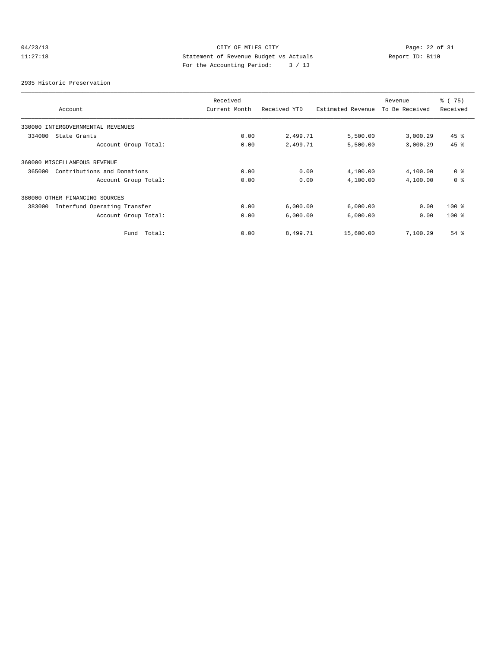# 04/23/13 CITY OF MILES CITY<br>11:27:18 Details Statement of Revenue Budget vs Actuals<br>11:27:18 Pay the Monountine Budget vs Actuals 11:27:18 Statement of Revenue Budget vs Actuals Report ID: B110 For the Accounting Period: 3 / 13

2935 Historic Preservation

|                                        | Received      |              |                   | Revenue        | % (75)         |
|----------------------------------------|---------------|--------------|-------------------|----------------|----------------|
| Account                                | Current Month | Received YTD | Estimated Revenue | To Be Received | Received       |
| 330000 INTERGOVERNMENTAL REVENUES      |               |              |                   |                |                |
| 334000<br>State Grants                 | 0.00          | 2,499.71     | 5,500.00          | 3,000.29       | $45$ %         |
| Account Group Total:                   | 0.00          | 2,499.71     | 5,500.00          | 3,000.29       | 45 %           |
| 360000 MISCELLANEOUS REVENUE           |               |              |                   |                |                |
| Contributions and Donations<br>365000  | 0.00          | 0.00         | 4,100.00          | 4,100.00       | 0 <sup>8</sup> |
| Account Group Total:                   | 0.00          | 0.00         | 4,100.00          | 4,100.00       | 0 <sup>8</sup> |
| 380000 OTHER FINANCING SOURCES         |               |              |                   |                |                |
| Interfund Operating Transfer<br>383000 | 0.00          | 6,000.00     | 6,000.00          | 0.00           | $100*$         |
| Account Group Total:                   | 0.00          | 6,000.00     | 6,000.00          | 0.00           | $100*$         |
| Total:<br>Fund                         | 0.00          | 8,499.71     | 15,600.00         | 7,100.29       | $54$ %         |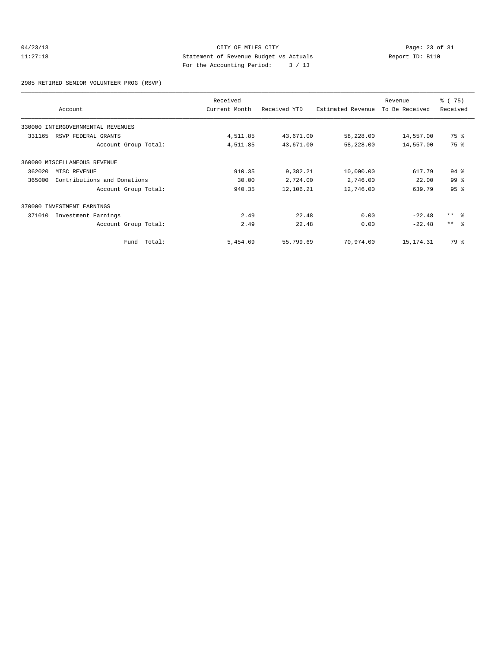### 04/23/13 CITY OF MILES CITY<br>11:27:18 Dege: 23 of 31<br>11:27:18 Deport ID: B110 11:27:18 Statement of Revenue Budget vs Actuals Report ID: B110 For the Accounting Period: 3 / 13

2985 RETIRED SENIOR VOLUNTEER PROG (RSVP)

|        | Account                           | Received<br>Current Month | Received YTD | Estimated Revenue | Revenue<br>To Be Received | 8 (75)<br>Received |
|--------|-----------------------------------|---------------------------|--------------|-------------------|---------------------------|--------------------|
|        | 330000 INTERGOVERNMENTAL REVENUES |                           |              |                   |                           |                    |
| 331165 | RSVP FEDERAL GRANTS               | 4,511.85                  | 43,671.00    | 58,228.00         | 14,557.00                 | 75 %               |
|        | Account Group Total:              | 4,511.85                  | 43,671.00    | 58,228.00         | 14,557.00                 | 75 %               |
|        | 360000 MISCELLANEOUS REVENUE      |                           |              |                   |                           |                    |
| 362020 | MISC REVENUE                      | 910.35                    | 9,382.21     | 10,000.00         | 617.79                    | $94$ $%$           |
| 365000 | Contributions and Donations       | 30.00                     | 2,724.00     | 2,746.00          | 22.00                     | 99 <sup>8</sup>    |
|        | Account Group Total:              | 940.35                    | 12,106.21    | 12,746.00         | 639.79                    | 95 <sup>8</sup>    |
|        | 370000 INVESTMENT EARNINGS        |                           |              |                   |                           |                    |
| 371010 | Investment Earnings               | 2.49                      | 22.48        | 0.00              | $-22.48$                  | $***$ $ -$         |
|        | Account Group Total:              | 2.49                      | 22.48        | 0.00              | $-22.48$                  | $***$ $ -$         |
|        | Total:<br>Fund                    | 5,454.69                  | 55,799.69    | 70,974.00         | 15, 174. 31               | 79 %               |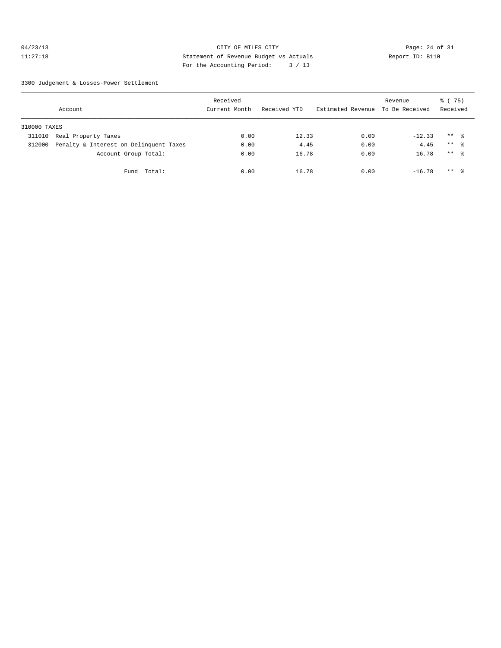### $04/23/13$  Page: 24 of 31 11:27:18 Statement of Revenue Budget vs Actuals Report ID: B110 For the Accounting Period: 3 / 13

3300 Judgement & Losses-Power Settlement

|              | Account                                | Received<br>Current Month | Received YTD | Estimated Revenue | Revenue<br>To Be Received | 8 (75)<br>Received  |  |
|--------------|----------------------------------------|---------------------------|--------------|-------------------|---------------------------|---------------------|--|
| 310000 TAXES |                                        |                           |              |                   |                           |                     |  |
| 311010       | Real Property Taxes                    | 0.00                      | 12.33        | 0.00              | $-12.33$                  | $***$ %             |  |
| 312000       | Penalty & Interest on Delinquent Taxes | 0.00                      | 4.45         | 0.00              | $-4.45$                   | $***$ $\approx$     |  |
|              | Account Group Total:                   | 0.00                      | 16.78        | 0.00              | $-16.78$                  | $***$ $\frac{6}{6}$ |  |
|              | Total:<br>Fund                         | 0.00                      | 16.78        | 0.00              | $-16.78$                  | $***$ $\frac{6}{5}$ |  |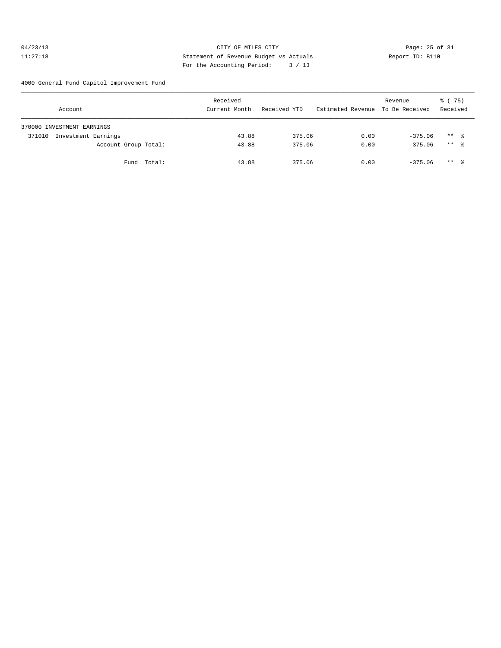### 04/23/13 Page: 25 of 31 11:27:18 Statement of Revenue Budget vs Actuals Report ID: B110 For the Accounting Period: 3 / 13

4000 General Fund Capitol Improvement Fund

| Account                    |                      |             | Received<br>Current Month | Received YTD | Estimated Revenue To Be Received | Revenue   | 8 (75)<br>Received  |  |
|----------------------------|----------------------|-------------|---------------------------|--------------|----------------------------------|-----------|---------------------|--|
| 370000 INVESTMENT EARNINGS |                      |             |                           |              |                                  |           |                     |  |
| 371010                     | Investment Earnings  |             | 43.88                     | 375.06       | 0.00                             | $-375.06$ | $***$ $\frac{6}{3}$ |  |
|                            | Account Group Total: |             | 43.88                     | 375.06       | 0.00                             | $-375.06$ | ** 응                |  |
|                            |                      | Fund Total: | 43.88                     | 375.06       | 0.00                             | $-375.06$ | $***$ %             |  |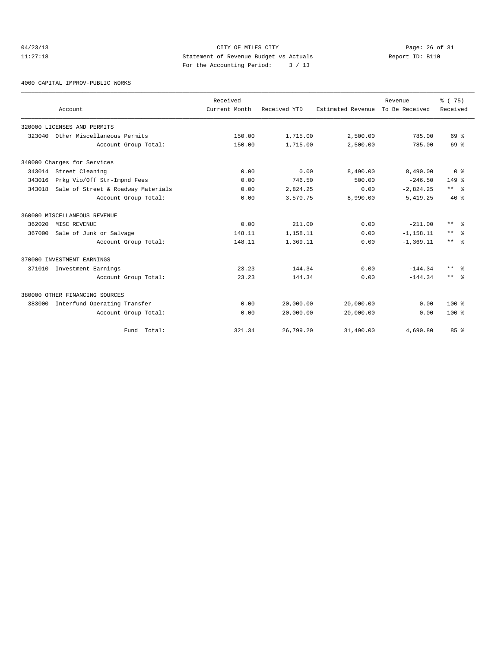### $04/23/13$  Page: 26 of 31 11:27:18 Statement of Revenue Budget vs Actuals Report ID: B110 For the Accounting Period: 3 / 13

4060 CAPITAL IMPROV-PUBLIC WORKS

|        | Account                            | Received<br>Current Month | Received YTD | Estimated Revenue | Revenue<br>To Be Received | 8 (75)<br>Received      |
|--------|------------------------------------|---------------------------|--------------|-------------------|---------------------------|-------------------------|
|        |                                    |                           |              |                   |                           |                         |
|        | 320000 LICENSES AND PERMITS        |                           |              |                   |                           |                         |
| 323040 | Other Miscellaneous Permits        | 150.00                    | 1,715.00     | 2,500.00          | 785.00                    | 69 %                    |
|        | Account Group Total:               | 150.00                    | 1,715.00     | 2,500.00          | 785.00                    | 69 %                    |
|        | 340000 Charges for Services        |                           |              |                   |                           |                         |
|        | 343014 Street Cleaning             | 0.00                      | 0.00         | 8,490.00          | 8,490.00                  | 0 <sup>8</sup>          |
| 343016 | Prkg Vio/Off Str-Impnd Fees        | 0.00                      | 746.50       | 500.00            | $-246.50$                 | $149*$                  |
| 343018 | Sale of Street & Roadway Materials | 0.00                      | 2,824.25     | 0.00              | $-2,824.25$               | $***$ $ \frac{6}{9}$    |
|        | Account Group Total:               | 0.00                      | 3,570.75     | 8,990.00          | 5,419.25                  | $40*$                   |
|        | 360000 MISCELLANEOUS REVENUE       |                           |              |                   |                           |                         |
| 362020 | MISC REVENUE                       | 0.00                      | 211.00       | 0.00              | $-211.00$                 | $***$ $=$ $\frac{6}{5}$ |
| 367000 | Sale of Junk or Salvage            | 148.11                    | 1,158.11     | 0.00              | $-1, 158.11$              | $\star\star$<br>- 옹     |
|        | Account Group Total:               | 148.11                    | 1,369.11     | 0.00              | $-1, 369.11$              | $***$ $\approx$         |
|        | 370000 INVESTMENT EARNINGS         |                           |              |                   |                           |                         |
|        | 371010 Investment Earnings         | 23.23                     | 144.34       | 0.00              | $-144.34$                 | $***$<br>ം ക            |
|        | Account Group Total:               | 23.23                     | 144.34       | 0.00              | $-144.34$                 | $***$ 2                 |
|        | 380000 OTHER FINANCING SOURCES     |                           |              |                   |                           |                         |
| 383000 | Interfund Operating Transfer       | 0.00                      | 20,000.00    | 20,000.00         | 0.00                      | $100*$                  |
|        | Account Group Total:               | 0.00                      | 20,000.00    | 20,000.00         | 0.00                      | $100*$                  |
|        | Fund Total:                        | 321.34                    | 26,799.20    | 31,490.00         | 4,690.80                  | 85%                     |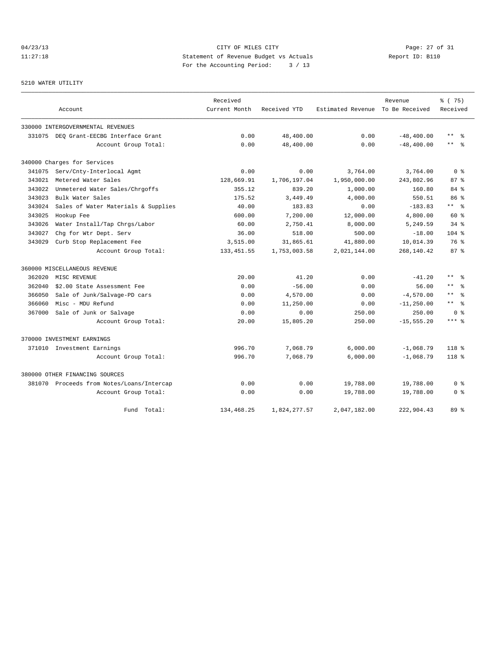# 04/23/13 Page: 27 of 31 11:27:18 Statement of Revenue Budget vs Actuals Report ID: B110 For the Accounting Period: 3 / 13

### 5210 WATER UTILITY

|        |                                           | Received      |              |                                  | Revenue       | 8 (75)                 |
|--------|-------------------------------------------|---------------|--------------|----------------------------------|---------------|------------------------|
|        | Account                                   | Current Month | Received YTD | Estimated Revenue To Be Received |               | Received               |
|        | 330000 INTERGOVERNMENTAL REVENUES         |               |              |                                  |               |                        |
|        | 331075 DEO Grant-EECBG Interface Grant    | 0.00          | 48,400.00    | 0.00                             | $-48, 400.00$ | $\star\star$<br>ႜ      |
|        | Account Group Total:                      | 0.00          | 48,400.00    | 0.00                             | $-48, 400.00$ | $\star\star$<br>- 옹    |
|        | 340000 Charges for Services               |               |              |                                  |               |                        |
| 341075 | Serv/Cnty-Interlocal Agmt                 | 0.00          | 0.00         | 3,764.00                         | 3,764.00      | 0 <sup>8</sup>         |
| 343021 | Metered Water Sales                       | 128,669.91    | 1,706,197.04 | 1,950,000.00                     | 243,802.96    | 87%                    |
| 343022 | Unmetered Water Sales/Chrgoffs            | 355.12        | 839.20       | 1,000.00                         | 160.80        | 84 %                   |
| 343023 | Bulk Water Sales                          | 175.52        | 3,449.49     | 4,000.00                         | 550.51        | 86 <sup>8</sup>        |
| 343024 | Sales of Water Materials & Supplies       | 40.00         | 183.83       | 0.00                             | $-183.83$     | $***$ $%$              |
| 343025 | Hookup Fee                                | 600.00        | 7,200.00     | 12,000.00                        | 4,800.00      | 60%                    |
| 343026 | Water Install/Tap Chrgs/Labor             | 60.00         | 2,750.41     | 8,000.00                         | 5,249.59      | 34%                    |
| 343027 | Chg for Wtr Dept. Serv                    | 36.00         | 518.00       | 500.00                           | $-18.00$      | $104$ %                |
| 343029 | Curb Stop Replacement Fee                 | 3,515.00      | 31,865.61    | 41,880.00                        | 10,014.39     | 76 %                   |
|        | Account Group Total:                      | 133, 451.55   | 1,753,003.58 | 2,021,144.00                     | 268,140.42    | 87 <sup>8</sup>        |
|        | 360000 MISCELLANEOUS REVENUE              |               |              |                                  |               |                        |
| 362020 | MISC REVENUE                              | 20.00         | 41.20        | 0.00                             | $-41.20$      | $\star$ $\star$<br>ু ⊱ |
| 362040 | \$2.00 State Assessment Fee               | 0.00          | $-56.00$     | 0.00                             | 56.00         | $***$<br>ু             |
| 366050 | Sale of Junk/Salvage-PD cars              | 0.00          | 4,570.00     | 0.00                             | $-4,570.00$   | $***$<br>ু             |
| 366060 | Misc - MDU Refund                         | 0.00          | 11,250.00    | 0.00                             | $-11, 250.00$ | $***$ %                |
| 367000 | Sale of Junk or Salvage                   | 0.00          | 0.00         | 250.00                           | 250.00        | 0 <sup>8</sup>         |
|        | Account Group Total:                      | 20.00         | 15,805.20    | 250.00                           | $-15, 555.20$ | $***$ %                |
|        | 370000 INVESTMENT EARNINGS                |               |              |                                  |               |                        |
| 371010 | Investment Earnings                       | 996.70        | 7,068.79     | 6,000.00                         | $-1,068.79$   | $118*$                 |
|        | Account Group Total:                      | 996.70        | 7,068.79     | 6,000.00                         | $-1,068.79$   | $118*$                 |
|        | 380000 OTHER FINANCING SOURCES            |               |              |                                  |               |                        |
|        | 381070 Proceeds from Notes/Loans/Intercap | 0.00          | 0.00         | 19,788.00                        | 19,788.00     | 0 %                    |
|        | Account Group Total:                      | 0.00          | 0.00         | 19,788.00                        | 19,788.00     | 0 <sup>8</sup>         |
|        | Fund Total:                               | 134,468.25    | 1,824,277.57 | 2,047,182.00                     | 222,904.43    | 89 %                   |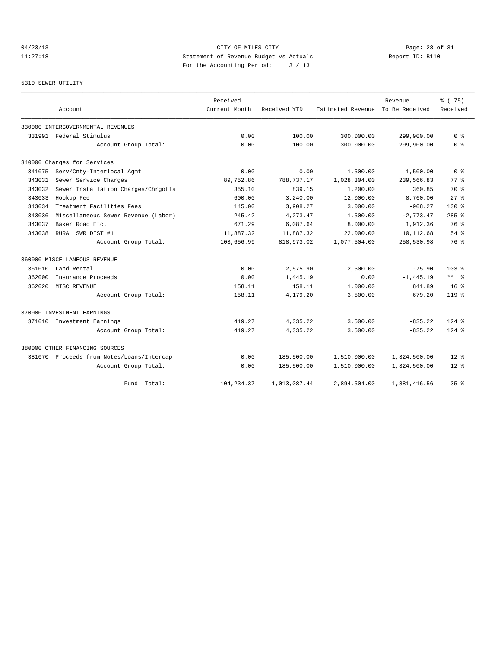# 04/23/13 Page: 28 of 31 11:27:18 Statement of Revenue Budget vs Actuals Report ID: B110 For the Accounting Period: 3 / 13

### 5310 SEWER UTILITY

|        |                                           | Received      |              |                   | Revenue        | % (75)          |
|--------|-------------------------------------------|---------------|--------------|-------------------|----------------|-----------------|
|        | Account                                   | Current Month | Received YTD | Estimated Revenue | To Be Received | Received        |
|        | 330000 INTERGOVERNMENTAL REVENUES         |               |              |                   |                |                 |
|        | 331991 Federal Stimulus                   | 0.00          | 100.00       | 300,000.00        | 299,900.00     | 0 <sup>8</sup>  |
|        | Account Group Total:                      | 0.00          | 100.00       | 300,000.00        | 299,900.00     | 0 <sup>8</sup>  |
|        | 340000 Charges for Services               |               |              |                   |                |                 |
| 341075 | Serv/Cnty-Interlocal Agmt                 | 0.00          | 0.00         | 1,500.00          | 1,500.00       | 0 <sup>8</sup>  |
| 343031 | Sewer Service Charges                     | 89,752.86     | 788,737.17   | 1,028,304.00      | 239,566.83     | 77.8            |
| 343032 | Sewer Installation Charges/Chrgoffs       | 355.10        | 839.15       | 1,200.00          | 360.85         | 70 %            |
| 343033 | Hookup Fee                                | 600.00        | 3,240.00     | 12,000.00         | 8,760.00       | $27$ $%$        |
| 343034 | Treatment Facilities Fees                 | 145.00        | 3,908.27     | 3,000.00          | $-908.27$      | $130*$          |
| 343036 | Miscellaneous Sewer Revenue (Labor)       | 245.42        | 4,273.47     | 1,500.00          | $-2,773.47$    | $285$ %         |
| 343037 | Baker Road Etc.                           | 671.29        | 6,087.64     | 8,000.00          | 1,912.36       | 76 %            |
| 343038 | RURAL SWR DIST #1                         | 11,887.32     | 11,887.32    | 22,000.00         | 10,112.68      | 54%             |
|        | Account Group Total:                      | 103,656.99    | 818,973.02   | 1,077,504.00      | 258,530.98     | 76 %            |
|        | 360000 MISCELLANEOUS REVENUE              |               |              |                   |                |                 |
| 361010 | Land Rental                               | 0.00          | 2,575.90     | 2,500.00          | $-75.90$       | $103*$          |
| 362000 | Insurance Proceeds                        | 0.00          | 1,445.19     | 0.00              | $-1, 445.19$   | $***$ %         |
| 362020 | MISC REVENUE                              | 158.11        | 158.11       | 1,000.00          | 841.89         | 16 <sup>8</sup> |
|        | Account Group Total:                      | 158.11        | 4,179.20     | 3,500.00          | $-679.20$      | $119*$          |
|        | 370000 INVESTMENT EARNINGS                |               |              |                   |                |                 |
|        | 371010 Investment Earnings                | 419.27        | 4,335.22     | 3,500.00          | $-835.22$      | $124$ %         |
|        | Account Group Total:                      | 419.27        | 4,335.22     | 3,500.00          | $-835.22$      | $124$ %         |
|        | 380000 OTHER FINANCING SOURCES            |               |              |                   |                |                 |
|        | 381070 Proceeds from Notes/Loans/Intercap | 0.00          | 185,500.00   | 1,510,000.00      | 1,324,500.00   | $12*$           |
|        | Account Group Total:                      | 0.00          | 185,500.00   | 1,510,000.00      | 1,324,500.00   | $12*$           |
|        | Total:<br>Fund                            | 104, 234.37   | 1,013,087.44 | 2,894,504.00      | 1,881,416.56   | 35 <sup>8</sup> |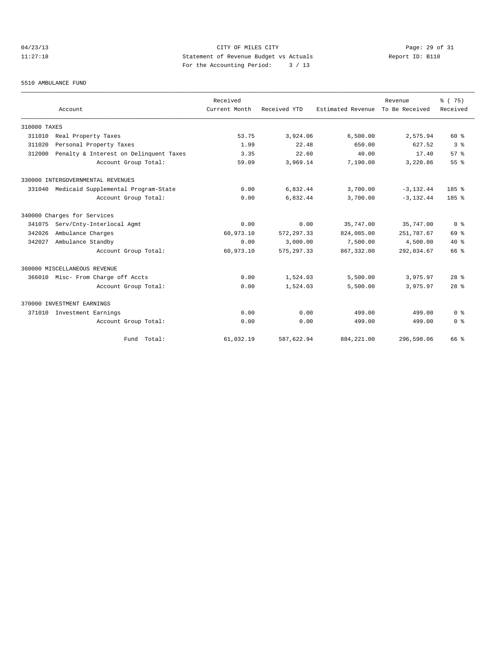# 04/23/13 Page: 29 of 31 11:27:18 Statement of Revenue Budget vs Actuals Report ID: B110 For the Accounting Period: 3 / 13

#### 5510 AMBULANCE FUND

|              |                                        | Received      |              |                                  | Revenue      | % (75)                             |
|--------------|----------------------------------------|---------------|--------------|----------------------------------|--------------|------------------------------------|
|              | Account                                | Current Month | Received YTD | Estimated Revenue To Be Received |              | Received                           |
| 310000 TAXES |                                        |               |              |                                  |              |                                    |
| 311010       | Real Property Taxes                    | 53.75         | 3,924.06     | 6,500.00                         | 2,575.94     | 60 %                               |
| 311020       | Personal Property Taxes                | 1.99          | 22.48        | 650.00                           | 627.52       | 3 <sup>8</sup>                     |
| 312000       | Penalty & Interest on Delinquent Taxes | 3.35          | 22.60        | 40.00                            | 17.40        | 57%                                |
|              | Account Group Total:                   | 59.09         | 3,969.14     | 7,190.00                         | 3,220.86     | 55 <sup>8</sup>                    |
|              | 330000 INTERGOVERNMENTAL REVENUES      |               |              |                                  |              |                                    |
| 331040       | Medicaid Supplemental Program-State    | 0.00          | 6,832.44     | 3,700.00                         | $-3, 132.44$ | 185%                               |
|              | Account Group Total:                   | 0.00          | 6,832.44     | 3,700.00                         | $-3, 132.44$ | 185%                               |
|              | 340000 Charges for Services            |               |              |                                  |              |                                    |
| 341075       | Serv/Cnty-Interlocal Agmt              | 0.00          | 0.00         | 35,747.00                        | 35,747.00    | 0 <sup>8</sup>                     |
| 342026       | Ambulance Charges                      | 60,973.10     | 572, 297.33  | 824,085.00                       | 251,787.67   | 69 %                               |
| 342027       | Ambulance Standby                      | 0.00          | 3,000.00     | 7,500.00                         | 4,500.00     | $40*$                              |
|              | Account Group Total:                   | 60,973.10     | 575, 297, 33 | 867, 332, 00                     | 292,034.67   | 66 %                               |
|              | 360000 MISCELLANEOUS REVENUE           |               |              |                                  |              |                                    |
| 366010       | Misc- From Charge off Accts            | 0.00          | 1,524.03     | 5,500.00                         | 3,975.97     | 28 <sup>8</sup>                    |
|              | Account Group Total:                   | 0.00          | 1,524.03     | 5,500.00                         | 3,975.97     | 28 <sup>8</sup>                    |
|              | 370000 INVESTMENT EARNINGS             |               |              |                                  |              |                                    |
| 371010       | Investment Earnings                    | 0.00          | 0.00         | 499.00                           | 499.00       | $0 \text{ }$ $\text{ }$ $\text{ }$ |
|              | Account Group Total:                   | 0.00          | 0.00         | 499.00                           | 499.00       | 0 <sup>8</sup>                     |
|              | Fund Total:                            | 61,032.19     | 587,622.94   | 884, 221.00                      | 296,598.06   | 66 %                               |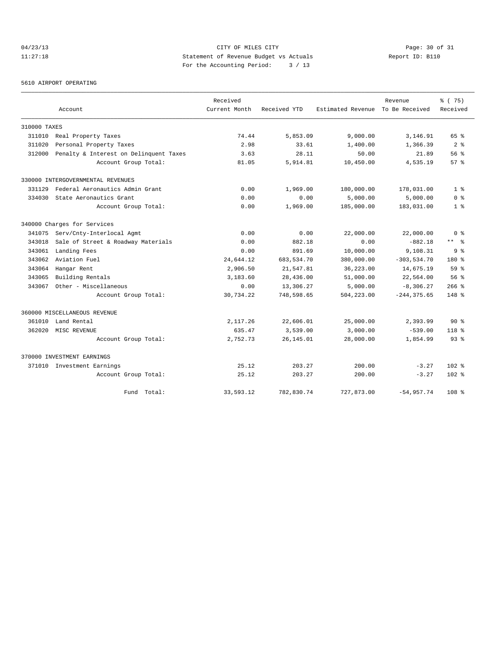# 04/23/13 Page: 30 of 31 11:27:18 Statement of Revenue Budget vs Actuals Report ID: B110 For the Accounting Period: 3 / 13

#### 5610 AIRPORT OPERATING

|              |                                        | Received      |              |                   | Revenue        | % (75)           |
|--------------|----------------------------------------|---------------|--------------|-------------------|----------------|------------------|
|              | Account                                | Current Month | Received YTD | Estimated Revenue | To Be Received | Received         |
| 310000 TAXES |                                        |               |              |                   |                |                  |
| 311010       | Real Property Taxes                    | 74.44         | 5,853.09     | 9,000.00          | 3,146.91       | 65 %             |
| 311020       | Personal Property Taxes                | 2.98          | 33.61        | 1,400.00          | 1,366.39       | 2 <sup>8</sup>   |
| 312000       | Penalty & Interest on Delinquent Taxes | 3.63          | 28.11        | 50.00             | 21.89          | 56 %             |
|              | Account Group Total:                   | 81.05         | 5,914.81     | 10,450.00         | 4,535.19       | 57%              |
|              | 330000 INTERGOVERNMENTAL REVENUES      |               |              |                   |                |                  |
| 331129       | Federal Aeronautics Admin Grant        | 0.00          | 1,969.00     | 180,000.00        | 178,031.00     | 1 <sup>8</sup>   |
| 334030       | State Aeronautics Grant                | 0.00          | 0.00         | 5,000.00          | 5,000.00       | 0 <sup>8</sup>   |
|              | Account Group Total:                   | 0.00          | 1,969.00     | 185,000.00        | 183,031.00     | 1 <sup>8</sup>   |
|              | 340000 Charges for Services            |               |              |                   |                |                  |
| 341075       | Serv/Cnty-Interlocal Agmt              | 0.00          | 0.00         | 22,000.00         | 22,000.00      | 0 <sup>8</sup>   |
| 343018       | Sale of Street & Roadway Materials     | 0.00          | 882.18       | 0.00              | $-882.18$      | ** 왕             |
| 343061       | Landing Fees                           | 0.00          | 891.69       | 10,000.00         | 9,108.31       | 9 <sup>8</sup>   |
| 343062       | Aviation Fuel                          | 24,644.12     | 683,534.70   | 380,000.00        | $-303, 534.70$ | 180 %            |
| 343064       | Hangar Rent                            | 2,906.50      | 21,547.81    | 36,223.00         | 14,675.19      | 59 <sup>8</sup>  |
| 343065       | Building Rentals                       | 3,183.60      | 28,436.00    | 51,000.00         | 22,564.00      | 56%              |
| 343067       | Other - Miscellaneous                  | 0.00          | 13,306.27    | 5,000.00          | $-8,306.27$    | $266$ %          |
|              | Account Group Total:                   | 30,734.22     | 748,598.65   | 504,223.00        | $-244, 375.65$ | $148*$           |
|              | 360000 MISCELLANEOUS REVENUE           |               |              |                   |                |                  |
| 361010       | Land Rental                            | 2,117.26      | 22,606.01    | 25,000.00         | 2,393.99       | 90%              |
| 362020       | MISC REVENUE                           | 635.47        | 3,539.00     | 3,000.00          | $-539.00$      | $118*$           |
|              | Account Group Total:                   | 2,752.73      | 26, 145.01   | 28,000.00         | 1,854.99       | 93%              |
|              | 370000 INVESTMENT EARNINGS             |               |              |                   |                |                  |
| 371010       | Investment Earnings                    | 25.12         | 203.27       | 200.00            | $-3.27$        | $102*$           |
|              | Account Group Total:                   | 25.12         | 203.27       | 200.00            | $-3.27$        | $102*$           |
|              | Total:<br>Fund                         | 33,593.12     | 782,830.74   | 727,873.00        | $-54,957.74$   | 108 <sup>8</sup> |